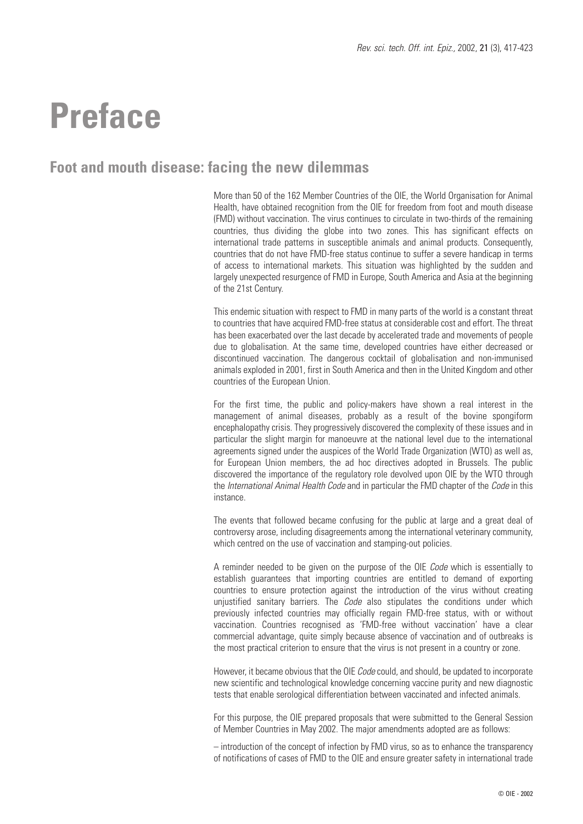### **Preface**

### **Foot and mouth disease: facing the new dilemmas**

More than 50 of the 162 Member Countries of the OIE, the World Organisation for Animal Health, have obtained recognition from the OIE for freedom from foot and mouth disease (FMD) without vaccination. The virus continues to circulate in two-thirds of the remaining countries, thus dividing the globe into two zones. This has significant effects on international trade patterns in susceptible animals and animal products. Consequently, countries that do not have FMD-free status continue to suffer a severe handicap in terms of access to international markets. This situation was highlighted by the sudden and largely unexpected resurgence of FMD in Europe, South America and Asia at the beginning of the 21st Century.

This endemic situation with respect to FMD in many parts of the world is a constant threat to countries that have acquired FMD-free status at considerable cost and effort. The threat has been exacerbated over the last decade by accelerated trade and movements of people due to globalisation. At the same time, developed countries have either decreased or discontinued vaccination. The dangerous cocktail of globalisation and non-immunised animals exploded in 2001, first in South America and then in the United Kingdom and other countries of the European Union.

For the first time, the public and policy-makers have shown a real interest in the management of animal diseases, probably as a result of the bovine spongiform encephalopathy crisis. They progressively discovered the complexity of these issues and in particular the slight margin for manoeuvre at the national level due to the international agreements signed under the auspices of the World Trade Organization (WTO) as well as, for European Union members, the ad hoc directives adopted in Brussels. The public discovered the importance of the regulatory role devolved upon OIE by the WTO through the *International Animal Health Code* and in particular the FMD chapter of the *Code* in this instance.

The events that followed became confusing for the public at large and a great deal of controversy arose, including disagreements among the international veterinary community, which centred on the use of vaccination and stamping-out policies.

A reminder needed to be given on the purpose of the OIE *Code* which is essentially to establish guarantees that importing countries are entitled to demand of exporting countries to ensure protection against the introduction of the virus without creating unjustified sanitary barriers. The *Code* also stipulates the conditions under which previously infected countries may officially regain FMD-free status, with or without vaccination. Countries recognised as 'FMD-free without vaccination' have a clear commercial advantage, quite simply because absence of vaccination and of outbreaks is the most practical criterion to ensure that the virus is not present in a country or zone.

However, it became obvious that the OIE *Code* could, and should, be updated to incorporate new scientific and technological knowledge concerning vaccine purity and new diagnostic tests that enable serological differentiation between vaccinated and infected animals.

For this purpose, the OIE prepared proposals that were submitted to the General Session of Member Countries in May 2002. The major amendments adopted are as follows:

– introduction of the concept of infection by FMD virus, so as to enhance the transparency of notifications of cases of FMD to the OIE and ensure greater safety in international trade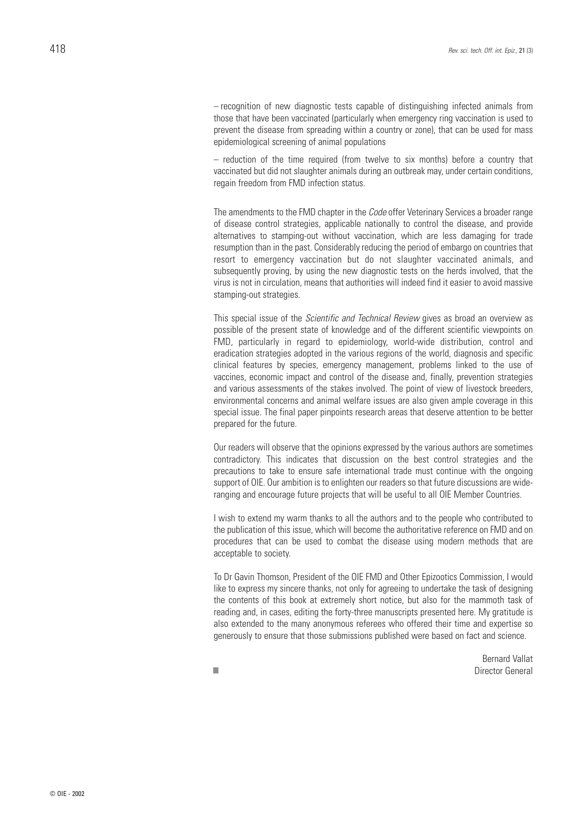– recognition of new diagnostic tests capable of distinguishing infected animals from those that have been vaccinated (particularly when emergency ring vaccination is used to prevent the disease from spreading within a country or zone), that can be used for mass epidemiological screening of animal populations

– reduction of the time required (from twelve to six months) before a country that vaccinated but did not slaughter animals during an outbreak may, under certain conditions, regain freedom from FMD infection status.

The amendments to the FMD chapter in the *Code* offer Veterinary Services a broader range of disease control strategies, applicable nationally to control the disease, and provide alternatives to stamping-out without vaccination, which are less damaging for trade resumption than in the past. Considerably reducing the period of embargo on countries that resort to emergency vaccination but do not slaughter vaccinated animals, and subsequently proving, by using the new diagnostic tests on the herds involved, that the virus is not in circulation, means that authorities will indeed find it easier to avoid massive stamping-out strategies.

This special issue of the *Scientific and Technical Review* gives as broad an overview as possible of the present state of knowledge and of the different scientific viewpoints on FMD, particularly in regard to epidemiology, world-wide distribution, control and eradication strategies adopted in the various regions of the world, diagnosis and specific clinical features by species, emergency management, problems linked to the use of vaccines, economic impact and control of the disease and, finally, prevention strategies and various assessments of the stakes involved. The point of view of livestock breeders, environmental concerns and animal welfare issues are also given ample coverage in this special issue. The final paper pinpoints research areas that deserve attention to be better prepared for the future.

Our readers will observe that the opinions expressed by the various authors are sometimes contradictory. This indicates that discussion on the best control strategies and the precautions to take to ensure safe international trade must continue with the ongoing support of OIE. Our ambition is to enlighten our readers so that future discussions are wideranging and encourage future projects that will be useful to all OIE Member Countries.

I wish to extend my warm thanks to all the authors and to the people who contributed to the publication of this issue, which will become the authoritative reference on FMD and on procedures that can be used to combat the disease using modern methods that are acceptable to society.

To Dr Gavin Thomson, President of the OIE FMD and Other Epizootics Commission, I would like to express my sincere thanks, not only for agreeing to undertake the task of designing the contents of this book at extremely short notice, but also for the mammoth task of reading and, in cases, editing the forty-three manuscripts presented here. My gratitude is also extended to the many anonymous referees who offered their time and expertise so generously to ensure that those submissions published were based on fact and science.

Bernard Vallat ■ Director General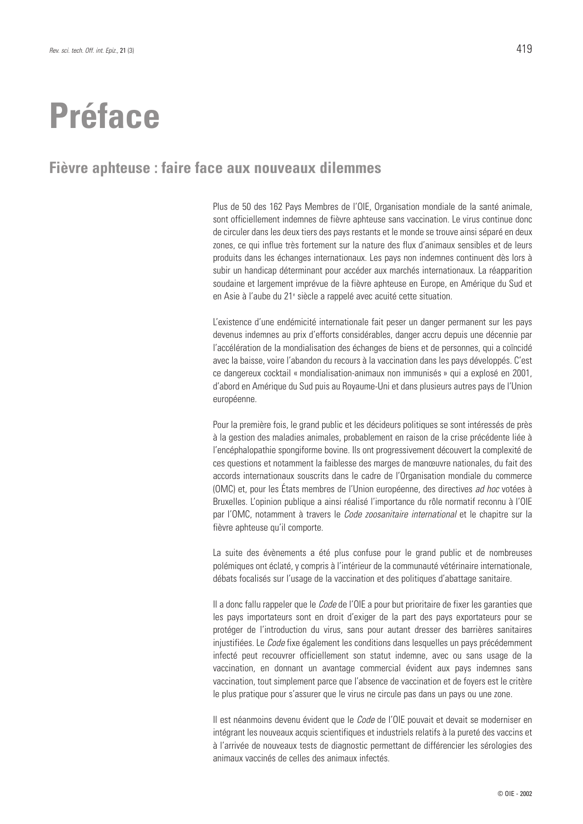## **Préface**

#### **Fièvre aphteuse : faire face aux nouveaux dilemmes**

Plus de 50 des 162 Pays Membres de l'OIE, Organisation mondiale de la santé animale, sont officiellement indemnes de fièvre aphteuse sans vaccination. Le virus continue donc de circuler dans les deux tiers des pays restants et le monde se trouve ainsi séparé en deux zones, ce qui influe très fortement sur la nature des flux d'animaux sensibles et de leurs produits dans les échanges internationaux. Les pays non indemnes continuent dès lors à subir un handicap déterminant pour accéder aux marchés internationaux. La réapparition soudaine et largement imprévue de la fièvre aphteuse en Europe, en Amérique du Sud et en Asie à l'aube du 21e siècle a rappelé avec acuité cette situation.

L'existence d'une endémicité internationale fait peser un danger permanent sur les pays devenus indemnes au prix d'efforts considérables, danger accru depuis une décennie par l'accélération de la mondialisation des échanges de biens et de personnes, qui a coïncidé avec la baisse, voire l'abandon du recours à la vaccination dans les pays développés. C'est ce dangereux cocktail « mondialisation-animaux non immunisés » qui a explosé en 2001, d'abord en Amérique du Sud puis au Royaume-Uni et dans plusieurs autres pays de l'Union européenne.

Pour la première fois, le grand public et les décideurs politiques se sont intéressés de près à la gestion des maladies animales, probablement en raison de la crise précédente liée à l'encéphalopathie spongiforme bovine. Ils ont progressivement découvert la complexité de ces questions et notamment la faiblesse des marges de manœuvre nationales, du fait des accords internationaux souscrits dans le cadre de l'Organisation mondiale du commerce (OMC) et, pour les États membres de l'Union européenne, des directives *ad hoc* votées à Bruxelles. L'opinion publique a ainsi réalisé l'importance du rôle normatif reconnu à l'OIE par l'OMC, notamment à travers le *Code zoosanitaire international* et le chapitre sur la fièvre aphteuse qu'il comporte.

La suite des évènements a été plus confuse pour le grand public et de nombreuses polémiques ont éclaté, y compris à l'intérieur de la communauté vétérinaire internationale, débats focalisés sur l'usage de la vaccination et des politiques d'abattage sanitaire.

Il a donc fallu rappeler que le *Code* de l'OIE a pour but prioritaire de fixer les garanties que les pays importateurs sont en droit d'exiger de la part des pays exportateurs pour se protéger de l'introduction du virus, sans pour autant dresser des barrières sanitaires injustifiées. Le *Code* fixe également les conditions dans lesquelles un pays précédemment infecté peut recouvrer officiellement son statut indemne, avec ou sans usage de la vaccination, en donnant un avantage commercial évident aux pays indemnes sans vaccination, tout simplement parce que l'absence de vaccination et de foyers est le critère le plus pratique pour s'assurer que le virus ne circule pas dans un pays ou une zone.

Il est néanmoins devenu évident que le *Code* de l'OIE pouvait et devait se moderniser en intégrant les nouveaux acquis scientifiques et industriels relatifs à la pureté des vaccins et à l'arrivée de nouveaux tests de diagnostic permettant de différencier les sérologies des animaux vaccinés de celles des animaux infectés.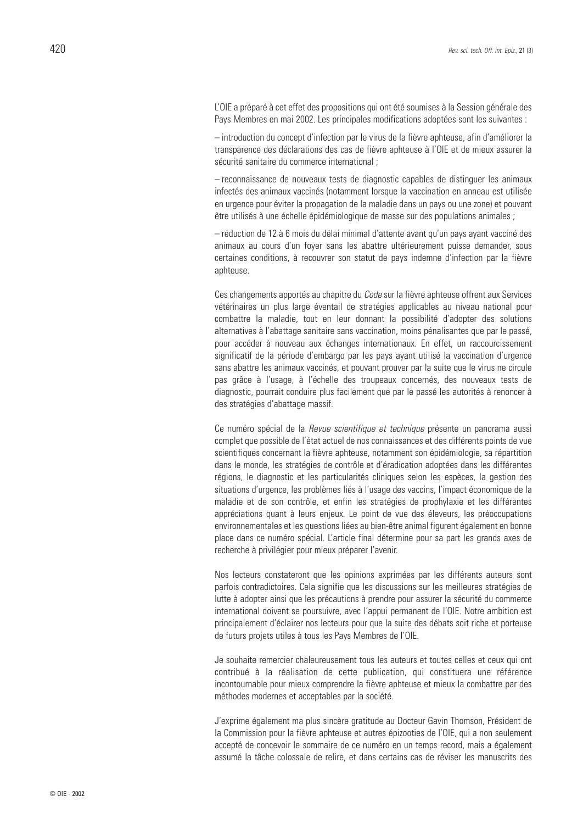L'OIE a préparé à cet effet des propositions qui ont été soumises à la Session générale des Pays Membres en mai 2002. Les principales modifications adoptées sont les suivantes :

– introduction du concept d'infection par le virus de la fièvre aphteuse, afin d'améliorer la transparence des déclarations des cas de fièvre aphteuse à l'OIE et de mieux assurer la sécurité sanitaire du commerce international ;

– reconnaissance de nouveaux tests de diagnostic capables de distinguer les animaux infectés des animaux vaccinés (notamment lorsque la vaccination en anneau est utilisée en urgence pour éviter la propagation de la maladie dans un pays ou une zone) et pouvant être utilisés à une échelle épidémiologique de masse sur des populations animales ;

– réduction de 12 à 6 mois du délai minimal d'attente avant qu'un pays ayant vacciné des animaux au cours d'un foyer sans les abattre ultérieurement puisse demander, sous certaines conditions, à recouvrer son statut de pays indemne d'infection par la fièvre aphteuse.

Ces changements apportés au chapitre du *Code* sur la fièvre aphteuse offrent aux Services vétérinaires un plus large éventail de stratégies applicables au niveau national pour combattre la maladie, tout en leur donnant la possibilité d'adopter des solutions alternatives à l'abattage sanitaire sans vaccination, moins pénalisantes que par le passé, pour accéder à nouveau aux échanges internationaux. En effet, un raccourcissement significatif de la période d'embargo par les pays ayant utilisé la vaccination d'urgence sans abattre les animaux vaccinés, et pouvant prouver par la suite que le virus ne circule pas grâce à l'usage, à l'échelle des troupeaux concernés, des nouveaux tests de diagnostic, pourrait conduire plus facilement que par le passé les autorités à renoncer à des stratégies d'abattage massif.

Ce numéro spécial de la *Revue scientifique et technique* présente un panorama aussi complet que possible de l'état actuel de nos connaissances et des différents points de vue scientifiques concernant la fièvre aphteuse, notamment son épidémiologie, sa répartition dans le monde, les stratégies de contrôle et d'éradication adoptées dans les différentes régions, le diagnostic et les particularités cliniques selon les espèces, la gestion des situations d'urgence, les problèmes liés à l'usage des vaccins, l'impact économique de la maladie et de son contrôle, et enfin les stratégies de prophylaxie et les différentes appréciations quant à leurs enjeux. Le point de vue des éleveurs, les préoccupations environnementales et les questions liées au bien-être animal figurent également en bonne place dans ce numéro spécial. L'article final détermine pour sa part les grands axes de recherche à privilégier pour mieux préparer l'avenir.

Nos lecteurs constateront que les opinions exprimées par les différents auteurs sont parfois contradictoires. Cela signifie que les discussions sur les meilleures stratégies de lutte à adopter ainsi que les précautions à prendre pour assurer la sécurité du commerce international doivent se poursuivre, avec l'appui permanent de l'OIE. Notre ambition est principalement d'éclairer nos lecteurs pour que la suite des débats soit riche et porteuse de futurs projets utiles à tous les Pays Membres de l'OIE.

Je souhaite remercier chaleureusement tous les auteurs et toutes celles et ceux qui ont contribué à la réalisation de cette publication, qui constituera une référence incontournable pour mieux comprendre la fièvre aphteuse et mieux la combattre par des méthodes modernes et acceptables par la société.

J'exprime également ma plus sincère gratitude au Docteur Gavin Thomson, Président de la Commission pour la fièvre aphteuse et autres épizooties de l'OIE, qui a non seulement accepté de concevoir le sommaire de ce numéro en un temps record, mais a également assumé la tâche colossale de relire, et dans certains cas de réviser les manuscrits des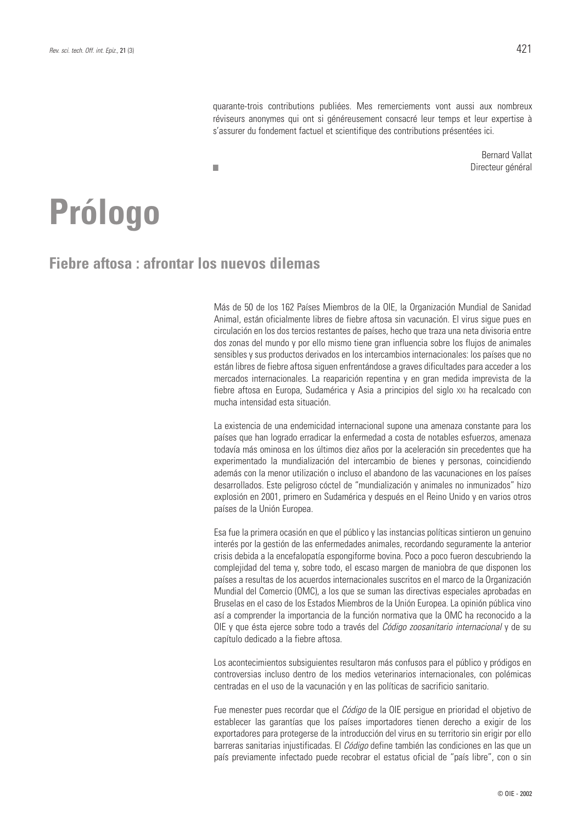quarante-trois contributions publiées. Mes remerciements vont aussi aux nombreux réviseurs anonymes qui ont si généreusement consacré leur temps et leur expertise à s'assurer du fondement factuel et scientifique des contributions présentées ici.

> Bernard Vallat Directeur général

# **Prólogo**

**Fiebre aftosa : afrontar los nuevos dilemas** 

■

Más de 50 de los 162 Países Miembros de la OIE, la Organización Mundial de Sanidad Animal, están oficialmente libres de fiebre aftosa sin vacunación. El virus sigue pues en circulación en los dos tercios restantes de países, hecho que traza una neta divisoria entre dos zonas del mundo y por ello mismo tiene gran influencia sobre los flujos de animales sensibles y sus productos derivados en los intercambios internacionales: los países que no están libres de fiebre aftosa siguen enfrentándose a graves dificultades para acceder a los mercados internacionales. La reaparición repentina y en gran medida imprevista de la fiebre aftosa en Europa, Sudamérica y Asia a principios del siglo XXI ha recalcado con mucha intensidad esta situación.

La existencia de una endemicidad internacional supone una amenaza constante para los países que han logrado erradicar la enfermedad a costa de notables esfuerzos, amenaza todavía más ominosa en los últimos diez años por la aceleración sin precedentes que ha experimentado la mundialización del intercambio de bienes y personas, coincidiendo además con la menor utilización o incluso el abandono de las vacunaciones en los países desarrollados. Este peligroso cóctel de "mundialización y animales no inmunizados" hizo explosión en 2001, primero en Sudamérica y después en el Reino Unido y en varios otros países de la Unión Europea.

Esa fue la primera ocasión en que el público y las instancias políticas sintieron un genuino interés por la gestión de las enfermedades animales, recordando seguramente la anterior crisis debida a la encefalopatía espongiforme bovina. Poco a poco fueron descubriendo la complejidad del tema y, sobre todo, el escaso margen de maniobra de que disponen los países a resultas de los acuerdos internacionales suscritos en el marco de la Organización Mundial del Comercio (OMC), a los que se suman las directivas especiales aprobadas en Bruselas en el caso de los Estados Miembros de la Unión Europea. La opinión pública vino así a comprender la importancia de la función normativa que la OMC ha reconocido a la OIE y que ésta ejerce sobre todo a través del *Código zoosanitario internacional* y de su capítulo dedicado a la fiebre aftosa.

Los acontecimientos subsiguientes resultaron más confusos para el público y pródigos en controversias incluso dentro de los medios veterinarios internacionales, con polémicas centradas en el uso de la vacunación y en las políticas de sacrificio sanitario.

Fue menester pues recordar que el *Código* de la OIE persigue en prioridad el objetivo de establecer las garantías que los países importadores tienen derecho a exigir de los exportadores para protegerse de la introducción del virus en su territorio sin erigir por ello barreras sanitarias injustificadas. El *Código* define también las condiciones en las que un país previamente infectado puede recobrar el estatus oficial de "país libre", con o sin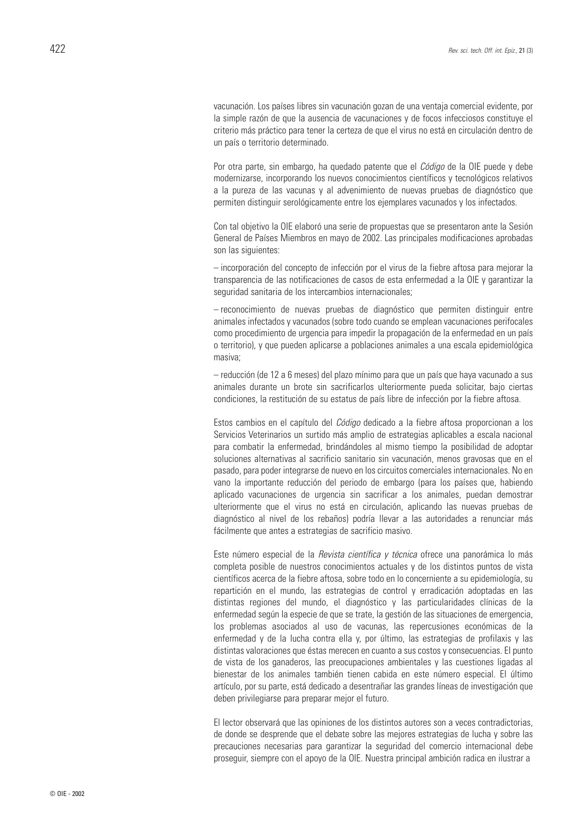vacunación. Los países libres sin vacunación gozan de una ventaja comercial evidente, por la simple razón de que la ausencia de vacunaciones y de focos infecciosos constituye el criterio más práctico para tener la certeza de que el virus no está en circulación dentro de un país o territorio determinado.

Por otra parte, sin embargo, ha quedado patente que el *Código* de la OIE puede y debe modernizarse, incorporando los nuevos conocimientos científicos y tecnológicos relativos a la pureza de las vacunas y al advenimiento de nuevas pruebas de diagnóstico que permiten distinguir serológicamente entre los ejemplares vacunados y los infectados.

Con tal objetivo la OIE elaboró una serie de propuestas que se presentaron ante la Sesión General de Países Miembros en mayo de 2002. Las principales modificaciones aprobadas son las siguientes:

– incorporación del concepto de infección por el virus de la fiebre aftosa para mejorar la transparencia de las notificaciones de casos de esta enfermedad a la OIE y garantizar la seguridad sanitaria de los intercambios internacionales;

– reconocimiento de nuevas pruebas de diagnóstico que permiten distinguir entre animales infectados y vacunados (sobre todo cuando se emplean vacunaciones perifocales como procedimiento de urgencia para impedir la propagación de la enfermedad en un país o territorio), y que pueden aplicarse a poblaciones animales a una escala epidemiológica masiva;

– reducción (de 12 a 6 meses) del plazo mínimo para que un país que haya vacunado a sus animales durante un brote sin sacrificarlos ulteriormente pueda solicitar, bajo ciertas condiciones, la restitución de su estatus de país libre de infección por la fiebre aftosa.

Estos cambios en el capítulo del *Código* dedicado a la fiebre aftosa proporcionan a los Servicios Veterinarios un surtido más amplio de estrategias aplicables a escala nacional para combatir la enfermedad, brindándoles al mismo tiempo la posibilidad de adoptar soluciones alternativas al sacrificio sanitario sin vacunación, menos gravosas que en el pasado, para poder integrarse de nuevo en los circuitos comerciales internacionales. No en vano la importante reducción del periodo de embargo (para los países que, habiendo aplicado vacunaciones de urgencia sin sacrificar a los animales, puedan demostrar ulteriormente que el virus no está en circulación, aplicando las nuevas pruebas de diagnóstico al nivel de los rebaños) podría llevar a las autoridades a renunciar más fácilmente que antes a estrategias de sacrificio masivo.

Este número especial de la *Revista científica y técnica* ofrece una panorámica lo más completa posible de nuestros conocimientos actuales y de los distintos puntos de vista científicos acerca de la fiebre aftosa, sobre todo en lo concerniente a su epidemiología, su repartición en el mundo, las estrategias de control y erradicación adoptadas en las distintas regiones del mundo, el diagnóstico y las particularidades clínicas de la enfermedad según la especie de que se trate, la gestión de las situaciones de emergencia, los problemas asociados al uso de vacunas, las repercusiones económicas de la enfermedad y de la lucha contra ella y, por último, las estrategias de profilaxis y las distintas valoraciones que éstas merecen en cuanto a sus costos y consecuencias. El punto de vista de los ganaderos, las preocupaciones ambientales y las cuestiones ligadas al bienestar de los animales también tienen cabida en este número especial. El último artículo, por su parte, está dedicado a desentrañar las grandes líneas de investigación que deben privilegiarse para preparar mejor el futuro.

El lector observará que las opiniones de los distintos autores son a veces contradictorias, de donde se desprende que el debate sobre las mejores estrategias de lucha y sobre las precauciones necesarias para garantizar la seguridad del comercio internacional debe proseguir, siempre con el apoyo de la OIE. Nuestra principal ambición radica en ilustrar a